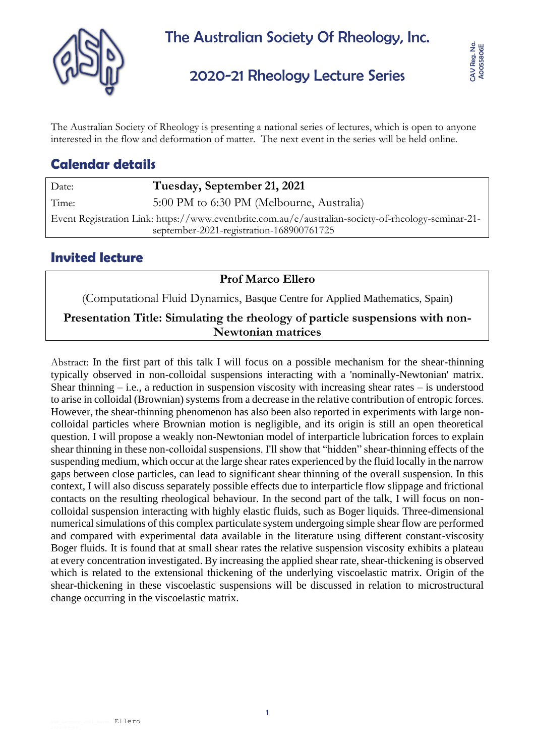

# 2020-21 Rheology Lecture Series

The Australian Society of Rheology is presenting a national series of lectures, which is open to anyone interested in the flow and deformation of matter. The next event in the series will be held online.

# **Calendar details**

Date: **Tuesday, September 21, 2021**

Time: 5:00 PM to 6:30 PM (Melbourne, Australia)

Event Registration Link: https://www.eventbrite.com.au/e/australian-society-of-rheology-seminar-21 september-2021-registration-168900761725

### **Invited lecture**

**Prof Marco Ellero**

(Computational Fluid Dynamics, Basque Centre for Applied Mathematics, Spain)

### **Presentation Title: Simulating the rheology of particle suspensions with non-Newtonian matrices**

Abstract: In the first part of this talk I will focus on a possible mechanism for the shear-thinning typically observed in non-colloidal suspensions interacting with a 'nominally-Newtonian' matrix. Shear thinning  $-$  i.e., a reduction in suspension viscosity with increasing shear rates  $-$  is understood to arise in colloidal (Brownian) systems from a decrease in the relative contribution of entropic forces. However, the shear-thinning phenomenon has also been also reported in experiments with large noncolloidal particles where Brownian motion is negligible, and its origin is still an open theoretical question. I will propose a weakly non-Newtonian model of interparticle lubrication forces to explain shear thinning in these non-colloidal suspensions. I'll show that "hidden" shear-thinning effects of the suspending medium, which occur at the large shear rates experienced by the fluid locally in the narrow gaps between close particles, can lead to significant shear thinning of the overall suspension. In this context, I will also discuss separately possible effects due to interparticle flow slippage and frictional contacts on the resulting rheological behaviour. In the second part of the talk, I will focus on noncolloidal suspension interacting with highly elastic fluids, such as Boger liquids. Three-dimensional numerical simulations of this complex particulate system undergoing simple shear flow are performed and compared with experimental data available in the literature using different constant-viscosity Boger fluids. It is found that at small shear rates the relative suspension viscosity exhibits a plateau at every concentration investigated. By increasing the applied shear rate, shear-thickening is observed which is related to the extensional thickening of the underlying viscoelastic matrix. Origin of the shear-thickening in these viscoelastic suspensions will be discussed in relation to microstructural change occurring in the viscoelastic matrix.